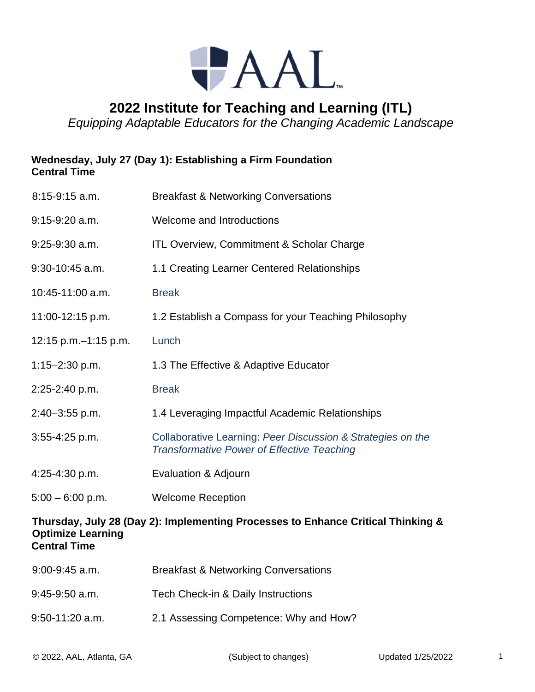

## **2022 Institute for Teaching and Learning (ITL)**

*Equipping Adaptable Educators for the Changing Academic Landscape*

## **Wednesday, July 27 (Day 1): Establishing a Firm Foundation Central Time**

| $8:15-9:15$ a.m.                                                                                                                    | <b>Breakfast &amp; Networking Conversations</b>                                                                  |  |
|-------------------------------------------------------------------------------------------------------------------------------------|------------------------------------------------------------------------------------------------------------------|--|
| $9:15-9:20$ a.m.                                                                                                                    | Welcome and Introductions                                                                                        |  |
| $9:25-9:30$ a.m.                                                                                                                    | <b>ITL Overview, Commitment &amp; Scholar Charge</b>                                                             |  |
| $9:30-10:45$ a.m.                                                                                                                   | 1.1 Creating Learner Centered Relationships                                                                      |  |
| 10:45-11:00 a.m.                                                                                                                    | <b>Break</b>                                                                                                     |  |
| 11:00-12:15 p.m.                                                                                                                    | 1.2 Establish a Compass for your Teaching Philosophy                                                             |  |
| 12:15 p.m. - 1:15 p.m.                                                                                                              | Lunch                                                                                                            |  |
| $1:15 - 2:30$ p.m.                                                                                                                  | 1.3 The Effective & Adaptive Educator                                                                            |  |
| 2:25-2:40 p.m.                                                                                                                      | <b>Break</b>                                                                                                     |  |
| $2:40 - 3:55$ p.m.                                                                                                                  | 1.4 Leveraging Impactful Academic Relationships                                                                  |  |
| 3:55-4:25 p.m.                                                                                                                      | Collaborative Learning: Peer Discussion & Strategies on the<br><b>Transformative Power of Effective Teaching</b> |  |
| 4:25-4:30 p.m.                                                                                                                      | Evaluation & Adjourn                                                                                             |  |
| $5:00 - 6:00$ p.m.                                                                                                                  | <b>Welcome Reception</b>                                                                                         |  |
| Thursday, July 28 (Day 2): Implementing Processes to Enhance Critical Thinking &<br><b>Optimize Learning</b><br><b>Central Time</b> |                                                                                                                  |  |

| $9:00-9:45$ a.m.  | <b>Breakfast &amp; Networking Conversations</b> |
|-------------------|-------------------------------------------------|
| $9:45-9:50$ a.m.  | Tech Check-in & Daily Instructions              |
| $9:50-11:20$ a.m. | 2.1 Assessing Competence: Why and How?          |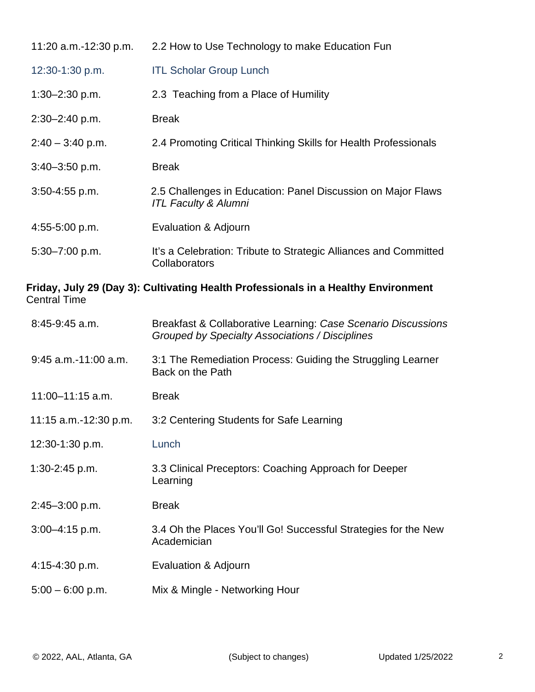| 11:20 a.m.-12:30 p.m. | 2.2 How to Use Technology to make Education Fun                                                 |
|-----------------------|-------------------------------------------------------------------------------------------------|
| 12:30-1:30 p.m.       | <b>ITL Scholar Group Lunch</b>                                                                  |
| $1:30 - 2:30$ p.m.    | 2.3 Teaching from a Place of Humility                                                           |
| $2:30 - 2:40$ p.m.    | <b>Break</b>                                                                                    |
| $2:40 - 3:40$ p.m.    | 2.4 Promoting Critical Thinking Skills for Health Professionals                                 |
| $3:40 - 3:50$ p.m.    | <b>Break</b>                                                                                    |
| $3:50 - 4:55$ p.m.    | 2.5 Challenges in Education: Panel Discussion on Major Flaws<br><b>ITL Faculty &amp; Alumni</b> |
| $4:55-5:00$ p.m.      | Evaluation & Adjourn                                                                            |
| 5:30-7:00 p.m.        | It's a Celebration: Tribute to Strategic Alliances and Committed<br>Collaborators               |

## **Friday, July 29 (Day 3): Cultivating Health Professionals in a Healthy Environment** Central Time

| $8:45-9:45$ a.m.        | Breakfast & Collaborative Learning: Case Scenario Discussions<br>Grouped by Specialty Associations / Disciplines |
|-------------------------|------------------------------------------------------------------------------------------------------------------|
| $9:45$ a.m.-11:00 a.m.  | 3:1 The Remediation Process: Guiding the Struggling Learner<br>Back on the Path                                  |
| $11:00 - 11:15$ a.m.    | <b>Break</b>                                                                                                     |
| 11:15 $a.m.-12:30 p.m.$ | 3:2 Centering Students for Safe Learning                                                                         |
| 12:30-1:30 p.m.         | Lunch                                                                                                            |
| $1:30-2:45$ p.m.        | 3.3 Clinical Preceptors: Coaching Approach for Deeper<br>Learning                                                |
| $2:45 - 3:00$ p.m.      | <b>Break</b>                                                                                                     |
| $3:00 - 4:15$ p.m.      | 3.4 Oh the Places You'll Go! Successful Strategies for the New<br>Academician                                    |
| 4:15-4:30 p.m.          | Evaluation & Adjourn                                                                                             |
| $5:00 - 6:00$ p.m.      | Mix & Mingle - Networking Hour                                                                                   |